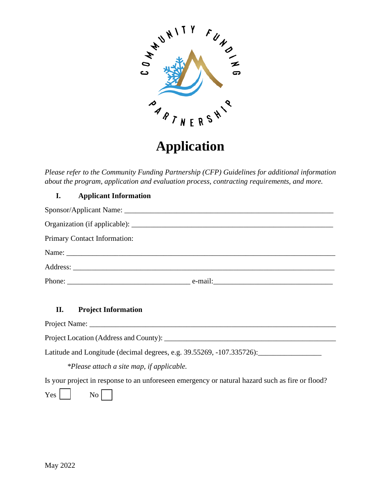

# **Application**

*Please refer to the Community Funding Partnership (CFP) Guidelines for additional information about the program, application and evaluation process, contracting requirements, and more.* 

## **I. Applicant Information**

| Primary Contact Information: |  |
|------------------------------|--|
|                              |  |
|                              |  |
|                              |  |

## **II. Project Information**

Project Name: \_\_\_\_\_\_\_\_\_\_\_\_\_\_\_\_\_\_\_\_\_\_\_\_\_\_\_\_\_\_\_\_\_\_\_\_\_\_\_\_\_\_\_\_\_\_\_\_\_\_\_\_\_\_\_\_\_\_\_\_\_\_\_\_\_\_

Project Location (Address and County): \_\_\_\_\_\_\_\_\_\_\_\_\_\_\_\_\_\_\_\_\_\_\_\_\_\_\_\_\_\_\_\_\_\_\_\_\_\_\_\_\_\_\_\_\_\_

Latitude and Longitude (decimal degrees, e.g. 39.55269, -107.335726): \_\_\_\_\_\_\_\_\_\_\_

*\*Please attach a site map, if applicable.*

Is your project in response to an unforeseen emergency or natural hazard such as fire or flood?

 $Yes \mid \mid$  No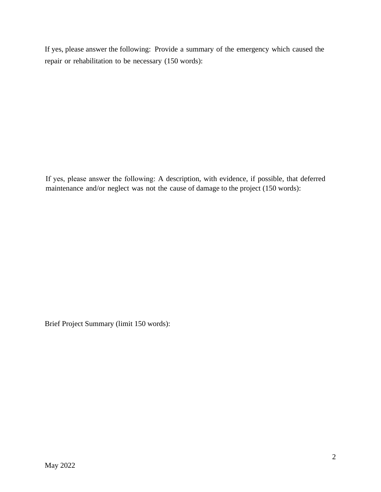If yes, please answer the following: Provide a summary of the emergency which caused the repair or rehabilitation to be necessary (150 words):

If yes, please answer the following: A description, with evidence, if possible, that deferred maintenance and/or neglect was not the cause of damage to the project (150 words):

Brief Project Summary (limit 150 words):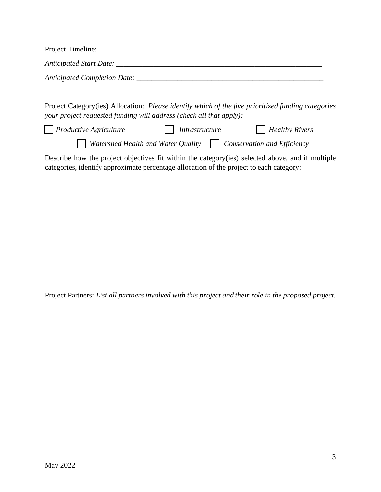| Project Timeline:                   |
|-------------------------------------|
| Anticipated Start Date:             |
| <b>Anticipated Completion Date:</b> |

Project Category(ies) Allocation: *Please identify which of the five prioritized funding categories your project requested funding will address (check all that apply):*

*Productive Agriculture Infrastructure Infrastructure Infrastructure Infrastructure Infrastructure Infrastructure Infrastructure Infrastructure Infrastructure Infrastructure Infrastructure Infrastru* 

*Watershed Health and Water Quality Conservation and Efficiency* 

Describe how the project objectives fit within the category(ies) selected above, and if multiple categories, identify approximate percentage allocation of the project to each category:

Project Partners: *List all partners involved with this project and their role in the proposed project.*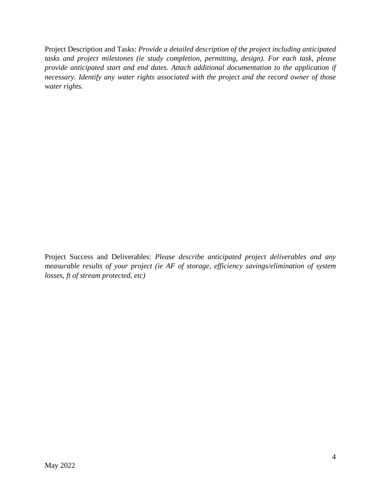Project Description and Tasks: *Provide a detailed description of the project including anticipated tasks and project milestones (ie study completion, permitting, design). For each task, please provide anticipated start and end dates. Attach additional documentation to the application if necessary. Identify any water rights associated with the project and the record owner of those water rights.* 

Project Success and Deliverables: *Please describe anticipated project deliverables and any measurable results of your project (ie AF of storage, efficiency savings/elimination of system losses, ft of stream protected, etc)*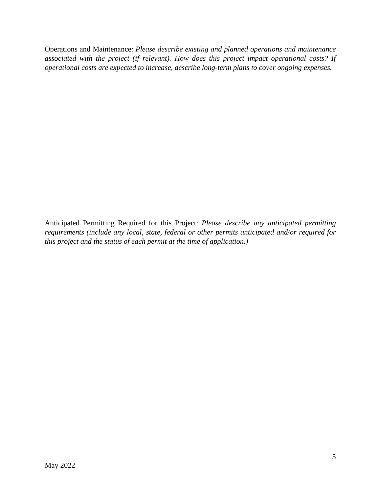Operations and Maintenance: *Please describe existing and planned operations and maintenance associated with the project (if relevant). How does this project impact operational costs? If operational costs are expected to increase, describe long-term plans to cover ongoing expenses.*

Anticipated Permitting Required for this Project: *Please describe any anticipated permitting requirements (include any local, state, federal or other permits anticipated and/or required for this project and the status of each permit at the time of application.)*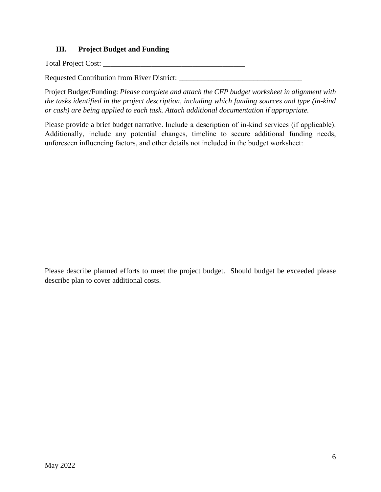## **III. Project Budget and Funding**

Total Project Cost: \_\_\_\_\_\_\_\_\_\_\_\_\_\_\_\_\_\_\_\_\_\_\_\_\_\_\_\_\_\_\_\_\_\_\_\_\_\_

Requested Contribution from River District: \_\_\_\_\_\_\_\_\_\_\_\_\_\_\_\_\_\_\_\_\_\_\_\_\_\_\_\_\_\_\_\_\_

Project Budget/Funding: *Please complete and attach the CFP budget worksheet in alignment with the tasks identified in the project description, including which funding sources and type (in-kind or cash) are being applied to each task. Attach additional documentation if appropriate.* 

Please provide a brief budget narrative. Include a description of in-kind services (if applicable). Additionally, include any potential changes, timeline to secure additional funding needs, unforeseen influencing factors, and other details not included in the budget worksheet:

Please describe planned efforts to meet the project budget. Should budget be exceeded please describe plan to cover additional costs.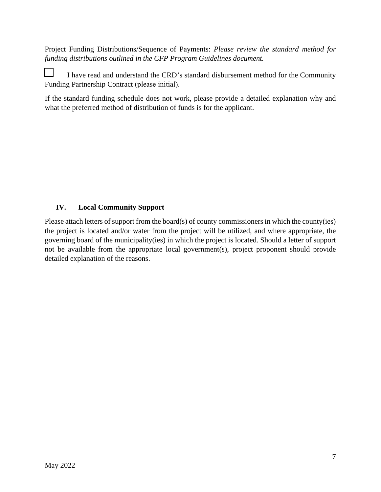Project Funding Distributions/Sequence of Payments: *Please review the standard method for funding distributions outlined in the CFP Program Guidelines document.* 

I have read and understand the CRD's standard disbursement method for the Community Funding Partnership Contract (please initial).

If the standard funding schedule does not work, please provide a detailed explanation why and what the preferred method of distribution of funds is for the applicant.

## **IV. Local Community Support**

Please attach letters of support from the board(s) of county commissioners in which the county(ies) the project is located and/or water from the project will be utilized, and where appropriate, the governing board of the municipality(ies) in which the project is located. Should a letter of support not be available from the appropriate local government(s), project proponent should provide detailed explanation of the reasons.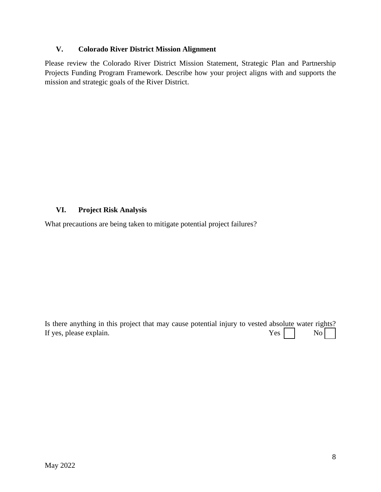#### **V. Colorado River District Mission Alignment**

Please review the Colorado River District Mission Statement, Strategic Plan and Partnership Projects Funding Program Framework. Describe how your project aligns with and supports the mission and strategic goals of the River District.

## **VI. Project Risk Analysis**

What precautions are being taken to mitigate potential project failures?

Is there anything in this project that may cause potential injury to vested absolute water rights? If yes, please explain.  $Yes \tVes \tVes$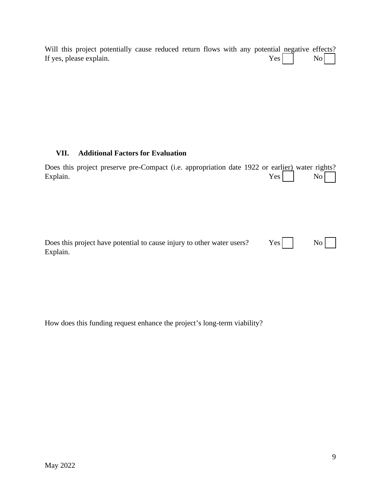|  |                         | Will this project potentially cause reduced return flows with any potential negative effects? |  |  |  |                 |  |
|--|-------------------------|-----------------------------------------------------------------------------------------------|--|--|--|-----------------|--|
|  | If yes, please explain. |                                                                                               |  |  |  | $Yes \fbox{No}$ |  |

## **VII. Additional Factors for Evaluation**

| Does this project preserve pre-Compact (i.e. appropriation date 1922 or earlier) water rights?<br>Explain. | Yes <sub>l</sub> |    |
|------------------------------------------------------------------------------------------------------------|------------------|----|
|                                                                                                            |                  |    |
|                                                                                                            |                  |    |
| Does this project have potential to cause injury to other water users?<br>Explain.                         | Yes              | No |

How does this funding request enhance the project's long-term viability?